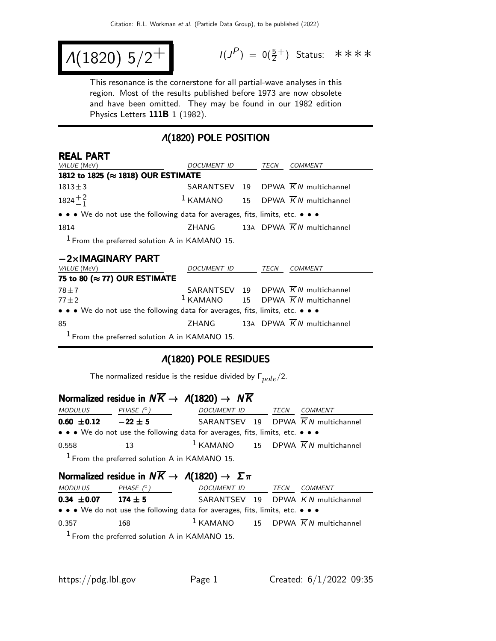$$
\Lambda(1820) 5/2^+
$$

 $(P) = 0(\frac{5}{2}^+)$  Status: \*\*\*\*

This resonance is the cornerstone for all partial-wave analyses in this region. Most of the results published before 1973 are now obsolete and have been omitted. They may be found in our 1982 edition Physics Letters 111B 1 (1982).

### Λ(1820) POLE POSITION

| <b>REAL PART</b>                                                              |              |  |             |                                                 |  |
|-------------------------------------------------------------------------------|--------------|--|-------------|-------------------------------------------------|--|
| <i>VALUE</i> (MeV)                                                            | DOCUMENT ID  |  | TECN        | COMMENT                                         |  |
| 1812 to 1825 (≈ 1818) OUR ESTIMATE                                            |              |  |             |                                                 |  |
| $1813 \pm 3$                                                                  |              |  |             | SARANTSEV 19 DPWA $\overline{K}N$ multichannel  |  |
| $1824 + \frac{2}{1}$                                                          |              |  |             | $1$ KAMANO 15 DPWA $\overline{K}N$ multichannel |  |
| • • • We do not use the following data for averages, fits, limits, etc. • • • |              |  |             |                                                 |  |
| 1814                                                                          |              |  |             | ZHANG 13A DPWA $\overline{K}N$ multichannel     |  |
| $1$ From the preferred solution A in KAMANO 15.                               |              |  |             |                                                 |  |
| $-2\times$ IMAGINARY PART                                                     |              |  |             |                                                 |  |
| 1/AIIFE (MA)                                                                  | DOCHMENT ID. |  | <b>TECN</b> | OMMENT                                          |  |

| <i>VALUE</i> (MeV)                                                            | <i>DOCUMENT ID</i> |  | TECN | <b>COMMENT</b>                                  |  |
|-------------------------------------------------------------------------------|--------------------|--|------|-------------------------------------------------|--|
| 75 to 80 ( $\approx$ 77) OUR ESTIMATE                                         |                    |  |      |                                                 |  |
| $78 \pm 7$                                                                    |                    |  |      | SARANTSEV 19 DPWA $\overline{K}N$ multichannel  |  |
| $77 + 2$                                                                      |                    |  |      | $1$ KAMANO 15 DPWA $\overline{K}N$ multichannel |  |
| • • • We do not use the following data for averages, fits, limits, etc. • • • |                    |  |      |                                                 |  |
| -85                                                                           | ZHANG              |  |      | 13A DPWA $\overline{K}N$ multichannel           |  |
| $1$ From the preferred solution A in KAMANO 15.                               |                    |  |      |                                                 |  |

# Λ(1820) POLE RESIDUES

The normalized residue is the residue divided by  $\Gamma_{pole}/2$ .

#### Normalized residue in  $N\overline{K} \rightarrow \Lambda(1820) \rightarrow N\overline{K}$

| <i>MODULUS</i>                                                                | PHASE $(^\circ)$                                | DOCUMENT ID TECN |  | <i>COMMENT</i>                                           |  |  |
|-------------------------------------------------------------------------------|-------------------------------------------------|------------------|--|----------------------------------------------------------|--|--|
| $0.60 \pm 0.12$                                                               | $-22 \pm 5$                                     |                  |  | SARANTSEV 19 DPWA $\overline{K}N$ multichannel           |  |  |
| • • • We do not use the following data for averages, fits, limits, etc. • • • |                                                 |                  |  |                                                          |  |  |
| 0.558                                                                         | $-13$                                           |                  |  | <sup>1</sup> KAMANO 15 DPWA $\overline{K}N$ multichannel |  |  |
|                                                                               | $1$ From the preferred solution A in KAMANO 15. |                  |  |                                                          |  |  |

Normalized residue in  $N\overline{K} \rightarrow \Lambda(1820) \rightarrow \Sigma \pi$ 

| <i>MODULUS</i>                                                                | PHASE $(^\circ)$ | DOCUMENT ID                                    |  | TECN | <i>COMMENT</i>                                           |  |
|-------------------------------------------------------------------------------|------------------|------------------------------------------------|--|------|----------------------------------------------------------|--|
| $0.34 \pm 0.07$                                                               | $174 \pm 5$      |                                                |  |      | SARANTSEV 19 DPWA $\overline{K}N$ multichannel           |  |
| • • • We do not use the following data for averages, fits, limits, etc. • • • |                  |                                                |  |      |                                                          |  |
| 0.357                                                                         | 168              |                                                |  |      | <sup>1</sup> KAMANO 15 DPWA $\overline{K}N$ multichannel |  |
|                                                                               |                  | $1$ Erom the preferred colution A in KAMANO 15 |  |      |                                                          |  |

From the preferred solution A in KAMANO 15.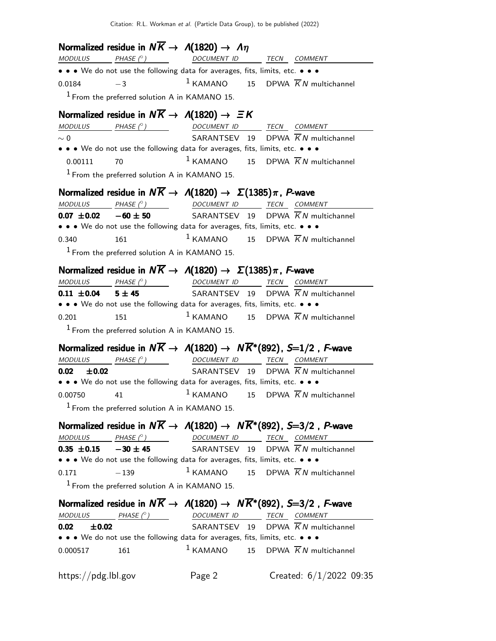Citation: R.L. Workman et al. (Particle Data Group), to be published (2022)

**Normalized residue in**  $N\overline{K} \rightarrow A(1820) \rightarrow \Lambda \eta$ <br>MODULUS PHASE (°)<br>DOCUMENT ID TECN COMMENT • • • We do not use the following data for averages, fits, limits, etc. • • •  $0.0184 -3$  $1$  KAMANO 15 DPWA  $\overline{K}N$  multichannel  $<sup>1</sup>$  From the preferred solution A in KAMANO 15.</sup> Normalized residue in  $N\overline{K} \rightarrow \Lambda(1820) \rightarrow \Xi K$ MODULUS PHASE (◦) DOCUMENT ID TECN COMMENT  $\sim 0$  SARANTSEV 19 DPWA  $\overline{K}N$  multichannel • • • We do not use the following data for averages, fits, limits, etc. • • • 0.00111 70  $1 KAMANO$  15 DPWA  $\overline{K}N$  multichannel  $<sup>1</sup>$  From the preferred solution A in KAMANO 15.</sup> **Normalized residue in**  $N\overline{K} \rightarrow A(1820) \rightarrow \Sigma(1385)\pi$ **, P-wave**<br>MODULUS PHASE C) DOCUMENT ID TECN COMM TECN COMMENT **0.07**  $\pm$ **0.02** −60  $\pm$  50 SARANTSEV 19 DPWA  $\overline{K}N$  multichannel • • • We do not use the following data for averages, fits, limits, etc. • • • 0.340 161 161 1 KAMANO 15 DPWA  $\overline{K}N$  multichannel  $<sup>1</sup>$  From the preferred solution A in KAMANO 15.</sup> **Normalized residue in**  $N\overline{K} \rightarrow A(1820) \rightarrow \Sigma(1385)\pi$ **, F-wave**<br>MODULUS PHASE (°) DOCUMENT ID TECN COMM TECN COMMENT **0.11**  $\pm$ **0.04 5**  $\pm$  **45** SARANTSEV 19 DPWA  $\overline{K}N$  multichannel • • • We do not use the following data for averages, fits, limits, etc. • • • 0.201 151 1 KAMANO 15 DPWA  $\overline{K}N$  multichannel  $<sup>1</sup>$  From the preferred solution A in KAMANO 15.</sup> Normalized residue in  $N\overline{K} \to A(1820) \to N\overline{K}^*(892)$ , S=1/2, F-wave  $MODULUS$  PHASE  $(°)$  DOCUMENT ID TECN COMMENT **0.02**  $\pm$ **0.02** SARANTSEV 19 DPWA  $\overline{K}N$  multichannel • • • We do not use the following data for averages, fits, limits, etc. • • • 0.00750 41  $1 KAMANO$  15 DPWA  $\overline{K}N$  multichannel  $<sup>1</sup>$  From the preferred solution A in KAMANO 15.</sup> Normalized residue in  $N\overline{K} \to A(1820) \to N\overline{K}^*(892)$ , S=3/2, P-wave MODULUS PHASE (°) DOCUMENT ID TECN COMMENT **0.35**  $\pm$ **0.15 −30**  $\pm$  **45** SARANTSEV 19 DPWA KN multichannel • • • We do not use the following data for averages, fits, limits, etc. • • • 0.171  $-139$  1 KAMANO 15 DPWA  $\overline{K}N$  multichannel  $<sup>1</sup>$  From the preferred solution A in KAMANO 15.</sup> Normalized residue in  $N\overline{K} \to A(1820) \to N\overline{K}^*(892)$ , S=3/2, F-wave  $MODULUS$  PHASE  $(°)$ ) DOCUMENT ID TECN COMMENT  $0.02 \pm 0.02$   $\pm 0.02$  SARANTSEV 19 DPWA  $\overline{K}N$  multichannel • • • We do not use the following data for averages, fits, limits, etc. • • • 0.000517 161  $1 KAMANO$  15 DPWA  $\overline{K}N$  multichannel https://pdg.lbl.gov Page 2 Created: 6/1/2022 09:35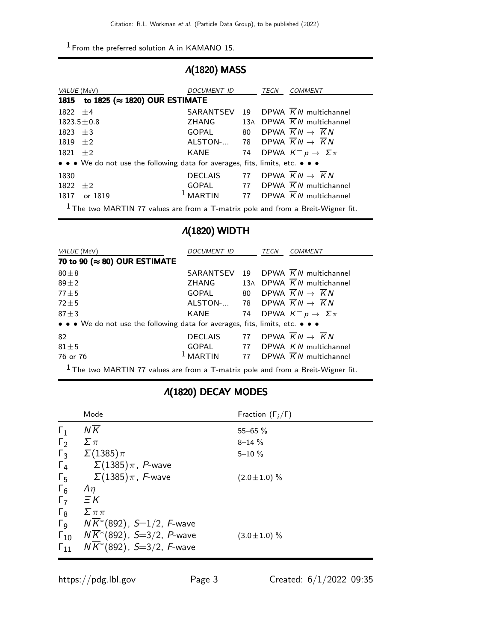1 From the preferred solution A in KAMANO 15.

#### Λ(1820) MASS

|            | VALUE (MeV)                                                                   | DOCUMENT ID                                               | TECN | <b>COMMENT</b>                                    |
|------------|-------------------------------------------------------------------------------|-----------------------------------------------------------|------|---------------------------------------------------|
|            | 1815 to 1825 ( $\approx$ 1820) OUR ESTIMATE                                   |                                                           |      |                                                   |
| $1822 + 4$ |                                                                               |                                                           |      | SARANTSEV 19 DPWA $\overline{K}N$ multichannel    |
|            | $1823.5 \pm 0.8$                                                              | ZHANG                                                     |      | 13A DPWA $\overline{K}N$ multichannel             |
| $1823 + 3$ |                                                                               | GOPAL                                                     |      | 80 DPWA $\overline{K}N \rightarrow \overline{K}N$ |
| $1819 + 2$ |                                                                               | ALSTON- 78 DPWA $\overline{K}N \rightarrow \overline{K}N$ |      |                                                   |
| $1821 + 2$ |                                                                               | KANE                                                      |      | 74 DPWA $K^- p \to \Sigma \pi$                    |
|            | • • • We do not use the following data for averages, fits, limits, etc. • • • |                                                           |      |                                                   |
| 1830       |                                                                               | <b>DECLAIS</b>                                            |      | 77 DPWA $\overline{K}N \rightarrow \overline{K}N$ |
| 1822       | $+2$                                                                          | GOPAL                                                     |      | 77 DPWA $\overline{K}N$ multichannel              |
| 1817       | or 1819                                                                       | <sup>1</sup> MARTIN                                       |      | 77 DPWA $\overline{K}N$ multichannel              |
|            |                                                                               |                                                           |      |                                                   |

 $<sup>1</sup>$  The two MARTIN 77 values are from a T-matrix pole and from a Breit-Wigner fit.</sup>

# Λ(1820) WIDTH

| <i>VALUE</i> (MeV)                                                            | <b>DOCUMENT ID</b> |  | TECN | <b>COMMENT</b>                                    |  |  |
|-------------------------------------------------------------------------------|--------------------|--|------|---------------------------------------------------|--|--|
| 70 to 90 (≈ 80) OUR ESTIMATE                                                  |                    |  |      |                                                   |  |  |
| $80\pm8$                                                                      | SARANTSEV          |  |      | 19 DPWA $\overline{K}N$ multichannel              |  |  |
| $89 + 2$                                                                      | ZHANG              |  |      | 13A DPWA $\overline{K}N$ multichannel             |  |  |
| $77 \pm 5$                                                                    | GOPAL              |  |      | 80 DPWA $\overline{K}N \rightarrow \overline{K}N$ |  |  |
| $72 \pm 5$                                                                    | ALSTON-            |  |      | 78 DPWA $\overline{K}N \rightarrow \overline{K}N$ |  |  |
| $87 \pm 3$                                                                    | KANE               |  |      | 74 DPWA $K^- p \rightarrow \Sigma \pi$            |  |  |
| • • • We do not use the following data for averages, fits, limits, etc. • • • |                    |  |      |                                                   |  |  |
| 82                                                                            | DECLAIS            |  |      | 77 DPWA $\overline{K}N \rightarrow \overline{K}N$ |  |  |
| $81 \pm 5$                                                                    | GOPAL              |  |      | 77 DPWA $\overline{K}N$ multichannel              |  |  |
| 76 or 76                                                                      | $1$ MARTIN         |  |      | 77 DPWA $\overline{K}N$ multichannel              |  |  |
| $1 - 1$ $140 - 111 - 7$ $1 - 1$ $1 - 11 - 1$                                  |                    |  |      |                                                   |  |  |

<sup>1</sup> The two MARTIN 77 values are from a T-matrix pole and from a Breit-Wigner fit.

#### Λ(1820) DECAY MODES

|                       | Mode                                                  | Fraction $(\Gamma_i/\Gamma)$ |
|-----------------------|-------------------------------------------------------|------------------------------|
| $\Gamma_1$            | $N\overline{K}$                                       | $55 - 65 \%$                 |
| $\Gamma_2$            | $\Sigma \pi$                                          | $8 - 14 \%$                  |
| $\Gamma_3$            | $\Sigma(1385)\pi$                                     | $5 - 10 \%$                  |
| $\Gamma_4$            | $\Sigma(1385)\pi$ , P-wave                            |                              |
| $\Gamma_5$            | $\Sigma(1385)\pi$ , F-wave                            | $(2.0 \pm 1.0)$ %            |
| $\Gamma_6$            | $\Lambda$                                             |                              |
| $\Gamma_7$            | $\Xi K$                                               |                              |
| $\Gamma_8$            | $\sum \pi \pi$                                        |                              |
| $\Gamma_{\mathsf{Q}}$ | $N\overline{K}$ *(892), <i>S</i> =1/2, <i>F</i> -wave |                              |
| $\Gamma_{10}$         | $N\overline{K}$ *(892), S=3/2, P-wave                 | $(3.0 \pm 1.0)$ %            |
| $\Gamma_{11}$         | $N\overline{K}$ <sup>*</sup> (892), S=3/2, F-wave     |                              |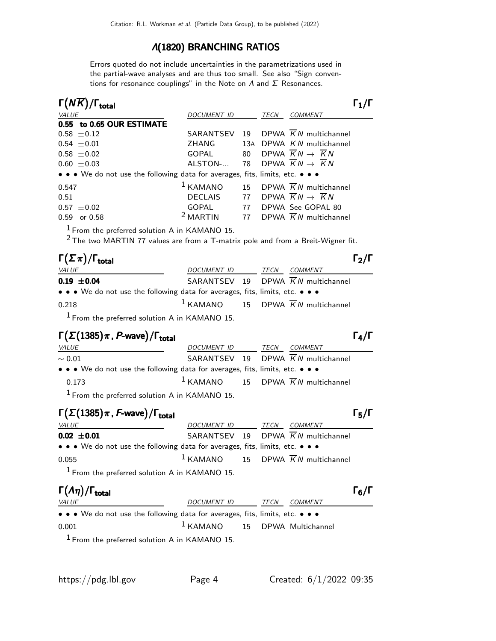### Λ(1820) BRANCHING RATIOS

Errors quoted do not include uncertainties in the parametrizations used in the partial-wave analyses and are thus too small. See also "Sign conventions for resonance couplings" in the Note on  $\Lambda$  and  $\Sigma$  Resonances.

| $\Gamma(N\overline{K})/\Gamma_{\rm total}$                                    |                     |    |             |                                                   |
|-------------------------------------------------------------------------------|---------------------|----|-------------|---------------------------------------------------|
| VALUE                                                                         | <b>DOCUMENT ID</b>  |    | <b>TECN</b> | <b>COMMENT</b>                                    |
| 0.55 to 0.65 OUR ESTIMATE                                                     |                     |    |             |                                                   |
| $0.58 \pm 0.12$                                                               | SARANTSEV           | 19 |             | DPWA $\overline{K}N$ multichannel                 |
| $0.54 \pm 0.01$                                                               | ZHANG               |    |             | 13A DPWA K N multichannel                         |
| $0.58 \pm 0.02$                                                               | GOPAL               | 80 |             | DPWA $\overline{K}N \rightarrow \overline{K}N$    |
| $0.60 \pm 0.03$                                                               | ALSTON-             |    |             | 78 DPWA $\overline{K}N \rightarrow \overline{K}N$ |
| • • • We do not use the following data for averages, fits, limits, etc. • • • |                     |    |             |                                                   |
| 0.547                                                                         | $1$ KAMANO          |    |             | 15 DPWA $\overline{K}N$ multichannel              |
| 0.51                                                                          | <b>DECLAIS</b>      | 77 |             | DPWA $\overline{K}N \rightarrow \overline{K}N$    |
| $0.57 \pm 0.02$                                                               | GOPAL               | 77 |             | DPWA See GOPAL 80                                 |
| or 0.58<br>0.59                                                               | <sup>2</sup> MARTIN |    |             | 77 DPWA $\overline{K}N$ multichannel              |

1 From the preferred solution A in KAMANO 15.

 $2$  The two MARTIN 77 values are from a T-matrix pole and from a Breit-Wigner fit.

| $\Gamma(\Sigma \pi)/\Gamma_{\rm total}$                                       |             |      |                                                 | $\Gamma_2/\Gamma$ |
|-------------------------------------------------------------------------------|-------------|------|-------------------------------------------------|-------------------|
| <i>VALUE</i>                                                                  | DOCUMENT ID | TECN | <i>COMMENT</i>                                  |                   |
| $0.19 \pm 0.04$                                                               |             |      | SARANTSEV 19 DPWA $\overline{K}N$ multichannel  |                   |
| • • • We do not use the following data for averages, fits, limits, etc. • • • |             |      |                                                 |                   |
| 0.218                                                                         |             |      | $1$ KAMANO 15 DPWA $\overline{K}N$ multichannel |                   |
|                                                                               |             |      |                                                 |                   |

 $<sup>1</sup>$  From the preferred solution A in KAMANO 15.</sup>

# $\Gamma(\Sigma(1385)\pi$ , P-wave)/Γ<sub>total</sub> Γ<sub>4</sub>/Γ

| <i>VALUE</i>                                                                  | DOCUMENT ID TECN COMMENT |  |                                                          |
|-------------------------------------------------------------------------------|--------------------------|--|----------------------------------------------------------|
| $\sim 0.01$                                                                   |                          |  | SARANTSEV 19 DPWA $\overline{K}N$ multichannel           |
| • • • We do not use the following data for averages, fits, limits, etc. • • • |                          |  |                                                          |
| 0.173                                                                         |                          |  | <sup>1</sup> KAMANO 15 DPWA $\overline{K}N$ multichannel |
| $1$ From the preferred solution A in KAMANO 15.                               |                          |  |                                                          |

# Γ $(\Sigma(1385)\pi$ , F-wave)/Γ<sub>total</sub> Γ<sub>5</sub>/Γ

| $\Gamma(\Sigma(1385)\pi, F$ -wave)/ $\Gamma_{\text{total}}$                   |                  |  |                                                 | $\Gamma_5/\Gamma$ |
|-------------------------------------------------------------------------------|------------------|--|-------------------------------------------------|-------------------|
| VALUE                                                                         | DOCUMENT ID TECN |  | <i>COMMENT</i>                                  |                   |
| $0.02 \pm 0.01$                                                               |                  |  | SARANTSEV 19 DPWA $\overline{K}N$ multichannel  |                   |
| • • • We do not use the following data for averages, fits, limits, etc. • • • |                  |  |                                                 |                   |
| 0.055                                                                         |                  |  | $1$ KAMANO 15 DPWA $\overline{K}N$ multichannel |                   |
| $1$ From the preferred solution A in KAMANO 15.                               |                  |  |                                                 |                   |

| $\Gamma(\Lambda \eta)/\Gamma_{\rm total}$                                                                             |                                   |      |                | $\Gamma_6/\Gamma$ |
|-----------------------------------------------------------------------------------------------------------------------|-----------------------------------|------|----------------|-------------------|
| <i>VALUE</i>                                                                                                          | <i>DOCUMENT ID</i>                | TECN | <i>COMMENT</i> |                   |
| $\bullet \bullet \bullet$ We do not use the following data for averages, fits, limits, etc. $\bullet \bullet \bullet$ |                                   |      |                |                   |
| 0.001                                                                                                                 | $1$ KAMANO $15$ DPWA Multichannel |      |                |                   |
| $1$ From the preferred solution A in KAMANO 15.                                                                       |                                   |      |                |                   |

 $\Gamma_6/\Gamma$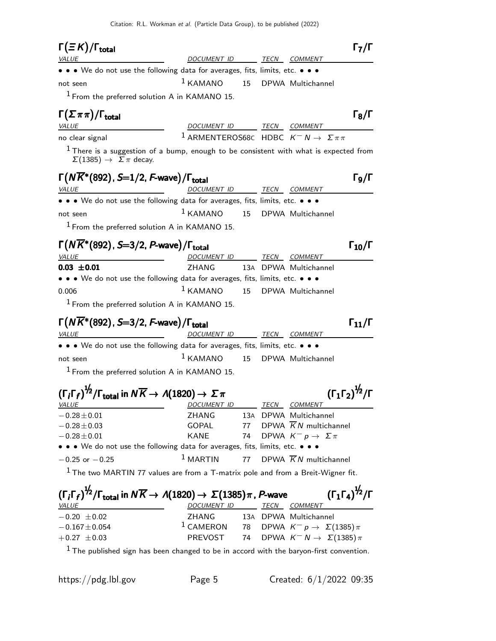Citation: R.L. Workman et al. (Particle Data Group), to be published (2022)

| DOCUMENT ID<br>TECN COMMENT<br><i>VALUE</i><br>• • • We do not use the following data for averages, fits, limits, etc. • • •<br>$1$ KAMANO<br>15 <sub>1</sub><br>DPWA Multichannel<br>not seen<br>$1$ From the preferred solution A in KAMANO 15.<br>$\Gamma(\Sigma \pi \pi)/\Gamma_{\rm total}$<br>DOCUMENT ID TECN COMMENT<br><i>VALUE</i><br><sup>1</sup> ARMENTEROS68C HDBC $K^- N \rightarrow \Sigma \pi \pi$<br>no clear signal<br>$1$ There is a suggestion of a bump, enough to be consistent with what is expected from<br>$\Sigma(1385) \rightarrow \Sigma \pi$ decay.<br>$\Gamma(N\overline{K}^*(892)$ , S=1/2, F-wave)/ $\Gamma_{\rm total}$<br>TECN COMMENT<br>DOCUMENT ID<br><u> 1989 - Johann Barbara, martin a</u><br><i>VALUE</i><br>• • • We do not use the following data for averages, fits, limits, etc. • • •<br>$1$ KAMANO<br>15<br>DPWA Multichannel<br>not seen<br>$1$ From the preferred solution A in KAMANO 15.<br>$\Gamma(N\overline{K}^*(892), S=3/2, P$ -wave)/ $\Gamma_{\rm total}$<br>$\Gamma_{10}/\Gamma$<br><b>VALUE</b><br><u>DOCUMENT ID</u><br>TECN COMMENT<br>ZHANG<br>13A DPWA Multichannel<br>• • • We do not use the following data for averages, fits, limits, etc. • • •<br>$1$ KAMANO<br>15<br>DPWA Multichannel<br>$1$ From the preferred solution A in KAMANO 15.<br>$\Gamma(N\overline{K}^*(892), S=3/2, F$ -wave)/ $\Gamma_{\text{total}}$<br>$\Gamma_{11}/\Gamma$<br><u>DOCUMENT ID</u><br>TECN COMMENT<br><b>VALUE</b><br>• • • We do not use the following data for averages, fits, limits, etc. • • •<br>$1$ KAMANO<br>15<br>DPWA Multichannel<br>not seen<br>$1$ From the preferred solution A in KAMANO 15.<br>$(\Gamma_i \Gamma_f)^{\frac{1}{2}} / \Gamma_{\text{total}}$ in $N \overline{K} \rightarrow A(1820) \rightarrow \Sigma \pi$<br>$({\Gamma_1 \Gamma_2})^{\frac{1}{2}}/{\Gamma}$<br><b>TECN</b><br>VALUE<br>DOCUMENT ID<br><b>COMMENT</b><br>13A DPWA Multichannel<br>$-0.28 \pm 0.01$<br>ZHANG<br>DPWA $\overline{K}N$ multichannel<br>GOPAL<br>$-0.28 \pm 0.03$<br>77<br>KANE<br>DPWA $K^- p \to \Sigma \pi$<br>$-0.28 \pm 0.01$<br>74<br>• • • We do not use the following data for averages, fits, limits, etc. • • •<br>$1$ MARTIN<br>77<br>DPWA $\overline{K}N$ multichannel<br>$-0.25$ or $-0.25$<br>$1$ The two MARTIN 77 values are from a T-matrix pole and from a Breit-Wigner fit.<br>$(\Gamma_1 \Gamma_4)^{\frac{1}{2}} / \Gamma$<br>$(\Gamma_i \Gamma_f)^{1/2}/\Gamma_{\text{total}}$ in $N \overline{K} \rightarrow A(1820) \rightarrow \Sigma(1385) \pi$ , P-wave<br>DOCUMENT ID TECN COMMENT<br><i>VALUE</i><br>$-0.20 \pm 0.02$<br>ZHANG<br>13A DPWA Multichannel<br><sup>1</sup> CAMERON 78 DPWA $K^- p \to \Sigma (1385) \pi$<br>$-0.167 \pm 0.054$<br>PREVOST<br>DPWA $K^ N \rightarrow \Sigma(1385)\,\pi$<br>74<br>$+0.27 \pm 0.03$<br>$1$ The published sign has been changed to be in accord with the baryon-first convention. | $\Gamma(\equiv K)/\Gamma_{\rm total}$ |  |  | $\Gamma_7/\Gamma$            |
|--------------------------------------------------------------------------------------------------------------------------------------------------------------------------------------------------------------------------------------------------------------------------------------------------------------------------------------------------------------------------------------------------------------------------------------------------------------------------------------------------------------------------------------------------------------------------------------------------------------------------------------------------------------------------------------------------------------------------------------------------------------------------------------------------------------------------------------------------------------------------------------------------------------------------------------------------------------------------------------------------------------------------------------------------------------------------------------------------------------------------------------------------------------------------------------------------------------------------------------------------------------------------------------------------------------------------------------------------------------------------------------------------------------------------------------------------------------------------------------------------------------------------------------------------------------------------------------------------------------------------------------------------------------------------------------------------------------------------------------------------------------------------------------------------------------------------------------------------------------------------------------------------------------------------------------------------------------------------------------------------------------------------------------------------------------------------------------------------------------------------------------------------------------------------------------------------------------------------------------------------------------------------------------------------------------------------------------------------------------------------------------------------------------------------------------------------------------------------------------------------------------------------------------------------------------------------------------------------------------------------------------------------------------------------------------------------------------------------------------------------------------------------------------------------------------------------------------------------------------------------------------------------------------------------|---------------------------------------|--|--|------------------------------|
|                                                                                                                                                                                                                                                                                                                                                                                                                                                                                                                                                                                                                                                                                                                                                                                                                                                                                                                                                                                                                                                                                                                                                                                                                                                                                                                                                                                                                                                                                                                                                                                                                                                                                                                                                                                                                                                                                                                                                                                                                                                                                                                                                                                                                                                                                                                                                                                                                                                                                                                                                                                                                                                                                                                                                                                                                                                                                                                          |                                       |  |  |                              |
|                                                                                                                                                                                                                                                                                                                                                                                                                                                                                                                                                                                                                                                                                                                                                                                                                                                                                                                                                                                                                                                                                                                                                                                                                                                                                                                                                                                                                                                                                                                                                                                                                                                                                                                                                                                                                                                                                                                                                                                                                                                                                                                                                                                                                                                                                                                                                                                                                                                                                                                                                                                                                                                                                                                                                                                                                                                                                                                          |                                       |  |  |                              |
|                                                                                                                                                                                                                                                                                                                                                                                                                                                                                                                                                                                                                                                                                                                                                                                                                                                                                                                                                                                                                                                                                                                                                                                                                                                                                                                                                                                                                                                                                                                                                                                                                                                                                                                                                                                                                                                                                                                                                                                                                                                                                                                                                                                                                                                                                                                                                                                                                                                                                                                                                                                                                                                                                                                                                                                                                                                                                                                          |                                       |  |  |                              |
|                                                                                                                                                                                                                                                                                                                                                                                                                                                                                                                                                                                                                                                                                                                                                                                                                                                                                                                                                                                                                                                                                                                                                                                                                                                                                                                                                                                                                                                                                                                                                                                                                                                                                                                                                                                                                                                                                                                                                                                                                                                                                                                                                                                                                                                                                                                                                                                                                                                                                                                                                                                                                                                                                                                                                                                                                                                                                                                          |                                       |  |  |                              |
|                                                                                                                                                                                                                                                                                                                                                                                                                                                                                                                                                                                                                                                                                                                                                                                                                                                                                                                                                                                                                                                                                                                                                                                                                                                                                                                                                                                                                                                                                                                                                                                                                                                                                                                                                                                                                                                                                                                                                                                                                                                                                                                                                                                                                                                                                                                                                                                                                                                                                                                                                                                                                                                                                                                                                                                                                                                                                                                          |                                       |  |  | $\Gamma_8/\Gamma$            |
|                                                                                                                                                                                                                                                                                                                                                                                                                                                                                                                                                                                                                                                                                                                                                                                                                                                                                                                                                                                                                                                                                                                                                                                                                                                                                                                                                                                                                                                                                                                                                                                                                                                                                                                                                                                                                                                                                                                                                                                                                                                                                                                                                                                                                                                                                                                                                                                                                                                                                                                                                                                                                                                                                                                                                                                                                                                                                                                          |                                       |  |  |                              |
|                                                                                                                                                                                                                                                                                                                                                                                                                                                                                                                                                                                                                                                                                                                                                                                                                                                                                                                                                                                                                                                                                                                                                                                                                                                                                                                                                                                                                                                                                                                                                                                                                                                                                                                                                                                                                                                                                                                                                                                                                                                                                                                                                                                                                                                                                                                                                                                                                                                                                                                                                                                                                                                                                                                                                                                                                                                                                                                          |                                       |  |  |                              |
|                                                                                                                                                                                                                                                                                                                                                                                                                                                                                                                                                                                                                                                                                                                                                                                                                                                                                                                                                                                                                                                                                                                                                                                                                                                                                                                                                                                                                                                                                                                                                                                                                                                                                                                                                                                                                                                                                                                                                                                                                                                                                                                                                                                                                                                                                                                                                                                                                                                                                                                                                                                                                                                                                                                                                                                                                                                                                                                          |                                       |  |  |                              |
|                                                                                                                                                                                                                                                                                                                                                                                                                                                                                                                                                                                                                                                                                                                                                                                                                                                                                                                                                                                                                                                                                                                                                                                                                                                                                                                                                                                                                                                                                                                                                                                                                                                                                                                                                                                                                                                                                                                                                                                                                                                                                                                                                                                                                                                                                                                                                                                                                                                                                                                                                                                                                                                                                                                                                                                                                                                                                                                          |                                       |  |  | $\Gamma_{\mathsf{Q}}/\Gamma$ |
|                                                                                                                                                                                                                                                                                                                                                                                                                                                                                                                                                                                                                                                                                                                                                                                                                                                                                                                                                                                                                                                                                                                                                                                                                                                                                                                                                                                                                                                                                                                                                                                                                                                                                                                                                                                                                                                                                                                                                                                                                                                                                                                                                                                                                                                                                                                                                                                                                                                                                                                                                                                                                                                                                                                                                                                                                                                                                                                          |                                       |  |  |                              |
|                                                                                                                                                                                                                                                                                                                                                                                                                                                                                                                                                                                                                                                                                                                                                                                                                                                                                                                                                                                                                                                                                                                                                                                                                                                                                                                                                                                                                                                                                                                                                                                                                                                                                                                                                                                                                                                                                                                                                                                                                                                                                                                                                                                                                                                                                                                                                                                                                                                                                                                                                                                                                                                                                                                                                                                                                                                                                                                          |                                       |  |  |                              |
|                                                                                                                                                                                                                                                                                                                                                                                                                                                                                                                                                                                                                                                                                                                                                                                                                                                                                                                                                                                                                                                                                                                                                                                                                                                                                                                                                                                                                                                                                                                                                                                                                                                                                                                                                                                                                                                                                                                                                                                                                                                                                                                                                                                                                                                                                                                                                                                                                                                                                                                                                                                                                                                                                                                                                                                                                                                                                                                          |                                       |  |  |                              |
|                                                                                                                                                                                                                                                                                                                                                                                                                                                                                                                                                                                                                                                                                                                                                                                                                                                                                                                                                                                                                                                                                                                                                                                                                                                                                                                                                                                                                                                                                                                                                                                                                                                                                                                                                                                                                                                                                                                                                                                                                                                                                                                                                                                                                                                                                                                                                                                                                                                                                                                                                                                                                                                                                                                                                                                                                                                                                                                          |                                       |  |  |                              |
|                                                                                                                                                                                                                                                                                                                                                                                                                                                                                                                                                                                                                                                                                                                                                                                                                                                                                                                                                                                                                                                                                                                                                                                                                                                                                                                                                                                                                                                                                                                                                                                                                                                                                                                                                                                                                                                                                                                                                                                                                                                                                                                                                                                                                                                                                                                                                                                                                                                                                                                                                                                                                                                                                                                                                                                                                                                                                                                          |                                       |  |  |                              |
|                                                                                                                                                                                                                                                                                                                                                                                                                                                                                                                                                                                                                                                                                                                                                                                                                                                                                                                                                                                                                                                                                                                                                                                                                                                                                                                                                                                                                                                                                                                                                                                                                                                                                                                                                                                                                                                                                                                                                                                                                                                                                                                                                                                                                                                                                                                                                                                                                                                                                                                                                                                                                                                                                                                                                                                                                                                                                                                          |                                       |  |  |                              |
|                                                                                                                                                                                                                                                                                                                                                                                                                                                                                                                                                                                                                                                                                                                                                                                                                                                                                                                                                                                                                                                                                                                                                                                                                                                                                                                                                                                                                                                                                                                                                                                                                                                                                                                                                                                                                                                                                                                                                                                                                                                                                                                                                                                                                                                                                                                                                                                                                                                                                                                                                                                                                                                                                                                                                                                                                                                                                                                          | $0.03 \pm 0.01$                       |  |  |                              |
|                                                                                                                                                                                                                                                                                                                                                                                                                                                                                                                                                                                                                                                                                                                                                                                                                                                                                                                                                                                                                                                                                                                                                                                                                                                                                                                                                                                                                                                                                                                                                                                                                                                                                                                                                                                                                                                                                                                                                                                                                                                                                                                                                                                                                                                                                                                                                                                                                                                                                                                                                                                                                                                                                                                                                                                                                                                                                                                          |                                       |  |  |                              |
|                                                                                                                                                                                                                                                                                                                                                                                                                                                                                                                                                                                                                                                                                                                                                                                                                                                                                                                                                                                                                                                                                                                                                                                                                                                                                                                                                                                                                                                                                                                                                                                                                                                                                                                                                                                                                                                                                                                                                                                                                                                                                                                                                                                                                                                                                                                                                                                                                                                                                                                                                                                                                                                                                                                                                                                                                                                                                                                          | 0.006                                 |  |  |                              |
|                                                                                                                                                                                                                                                                                                                                                                                                                                                                                                                                                                                                                                                                                                                                                                                                                                                                                                                                                                                                                                                                                                                                                                                                                                                                                                                                                                                                                                                                                                                                                                                                                                                                                                                                                                                                                                                                                                                                                                                                                                                                                                                                                                                                                                                                                                                                                                                                                                                                                                                                                                                                                                                                                                                                                                                                                                                                                                                          |                                       |  |  |                              |
|                                                                                                                                                                                                                                                                                                                                                                                                                                                                                                                                                                                                                                                                                                                                                                                                                                                                                                                                                                                                                                                                                                                                                                                                                                                                                                                                                                                                                                                                                                                                                                                                                                                                                                                                                                                                                                                                                                                                                                                                                                                                                                                                                                                                                                                                                                                                                                                                                                                                                                                                                                                                                                                                                                                                                                                                                                                                                                                          |                                       |  |  |                              |
|                                                                                                                                                                                                                                                                                                                                                                                                                                                                                                                                                                                                                                                                                                                                                                                                                                                                                                                                                                                                                                                                                                                                                                                                                                                                                                                                                                                                                                                                                                                                                                                                                                                                                                                                                                                                                                                                                                                                                                                                                                                                                                                                                                                                                                                                                                                                                                                                                                                                                                                                                                                                                                                                                                                                                                                                                                                                                                                          |                                       |  |  |                              |
|                                                                                                                                                                                                                                                                                                                                                                                                                                                                                                                                                                                                                                                                                                                                                                                                                                                                                                                                                                                                                                                                                                                                                                                                                                                                                                                                                                                                                                                                                                                                                                                                                                                                                                                                                                                                                                                                                                                                                                                                                                                                                                                                                                                                                                                                                                                                                                                                                                                                                                                                                                                                                                                                                                                                                                                                                                                                                                                          |                                       |  |  |                              |
|                                                                                                                                                                                                                                                                                                                                                                                                                                                                                                                                                                                                                                                                                                                                                                                                                                                                                                                                                                                                                                                                                                                                                                                                                                                                                                                                                                                                                                                                                                                                                                                                                                                                                                                                                                                                                                                                                                                                                                                                                                                                                                                                                                                                                                                                                                                                                                                                                                                                                                                                                                                                                                                                                                                                                                                                                                                                                                                          |                                       |  |  |                              |
|                                                                                                                                                                                                                                                                                                                                                                                                                                                                                                                                                                                                                                                                                                                                                                                                                                                                                                                                                                                                                                                                                                                                                                                                                                                                                                                                                                                                                                                                                                                                                                                                                                                                                                                                                                                                                                                                                                                                                                                                                                                                                                                                                                                                                                                                                                                                                                                                                                                                                                                                                                                                                                                                                                                                                                                                                                                                                                                          |                                       |  |  |                              |
|                                                                                                                                                                                                                                                                                                                                                                                                                                                                                                                                                                                                                                                                                                                                                                                                                                                                                                                                                                                                                                                                                                                                                                                                                                                                                                                                                                                                                                                                                                                                                                                                                                                                                                                                                                                                                                                                                                                                                                                                                                                                                                                                                                                                                                                                                                                                                                                                                                                                                                                                                                                                                                                                                                                                                                                                                                                                                                                          |                                       |  |  |                              |
|                                                                                                                                                                                                                                                                                                                                                                                                                                                                                                                                                                                                                                                                                                                                                                                                                                                                                                                                                                                                                                                                                                                                                                                                                                                                                                                                                                                                                                                                                                                                                                                                                                                                                                                                                                                                                                                                                                                                                                                                                                                                                                                                                                                                                                                                                                                                                                                                                                                                                                                                                                                                                                                                                                                                                                                                                                                                                                                          |                                       |  |  |                              |
|                                                                                                                                                                                                                                                                                                                                                                                                                                                                                                                                                                                                                                                                                                                                                                                                                                                                                                                                                                                                                                                                                                                                                                                                                                                                                                                                                                                                                                                                                                                                                                                                                                                                                                                                                                                                                                                                                                                                                                                                                                                                                                                                                                                                                                                                                                                                                                                                                                                                                                                                                                                                                                                                                                                                                                                                                                                                                                                          |                                       |  |  |                              |
|                                                                                                                                                                                                                                                                                                                                                                                                                                                                                                                                                                                                                                                                                                                                                                                                                                                                                                                                                                                                                                                                                                                                                                                                                                                                                                                                                                                                                                                                                                                                                                                                                                                                                                                                                                                                                                                                                                                                                                                                                                                                                                                                                                                                                                                                                                                                                                                                                                                                                                                                                                                                                                                                                                                                                                                                                                                                                                                          |                                       |  |  |                              |
|                                                                                                                                                                                                                                                                                                                                                                                                                                                                                                                                                                                                                                                                                                                                                                                                                                                                                                                                                                                                                                                                                                                                                                                                                                                                                                                                                                                                                                                                                                                                                                                                                                                                                                                                                                                                                                                                                                                                                                                                                                                                                                                                                                                                                                                                                                                                                                                                                                                                                                                                                                                                                                                                                                                                                                                                                                                                                                                          |                                       |  |  |                              |
|                                                                                                                                                                                                                                                                                                                                                                                                                                                                                                                                                                                                                                                                                                                                                                                                                                                                                                                                                                                                                                                                                                                                                                                                                                                                                                                                                                                                                                                                                                                                                                                                                                                                                                                                                                                                                                                                                                                                                                                                                                                                                                                                                                                                                                                                                                                                                                                                                                                                                                                                                                                                                                                                                                                                                                                                                                                                                                                          |                                       |  |  |                              |
|                                                                                                                                                                                                                                                                                                                                                                                                                                                                                                                                                                                                                                                                                                                                                                                                                                                                                                                                                                                                                                                                                                                                                                                                                                                                                                                                                                                                                                                                                                                                                                                                                                                                                                                                                                                                                                                                                                                                                                                                                                                                                                                                                                                                                                                                                                                                                                                                                                                                                                                                                                                                                                                                                                                                                                                                                                                                                                                          |                                       |  |  |                              |
|                                                                                                                                                                                                                                                                                                                                                                                                                                                                                                                                                                                                                                                                                                                                                                                                                                                                                                                                                                                                                                                                                                                                                                                                                                                                                                                                                                                                                                                                                                                                                                                                                                                                                                                                                                                                                                                                                                                                                                                                                                                                                                                                                                                                                                                                                                                                                                                                                                                                                                                                                                                                                                                                                                                                                                                                                                                                                                                          |                                       |  |  |                              |
|                                                                                                                                                                                                                                                                                                                                                                                                                                                                                                                                                                                                                                                                                                                                                                                                                                                                                                                                                                                                                                                                                                                                                                                                                                                                                                                                                                                                                                                                                                                                                                                                                                                                                                                                                                                                                                                                                                                                                                                                                                                                                                                                                                                                                                                                                                                                                                                                                                                                                                                                                                                                                                                                                                                                                                                                                                                                                                                          |                                       |  |  |                              |
|                                                                                                                                                                                                                                                                                                                                                                                                                                                                                                                                                                                                                                                                                                                                                                                                                                                                                                                                                                                                                                                                                                                                                                                                                                                                                                                                                                                                                                                                                                                                                                                                                                                                                                                                                                                                                                                                                                                                                                                                                                                                                                                                                                                                                                                                                                                                                                                                                                                                                                                                                                                                                                                                                                                                                                                                                                                                                                                          |                                       |  |  |                              |
|                                                                                                                                                                                                                                                                                                                                                                                                                                                                                                                                                                                                                                                                                                                                                                                                                                                                                                                                                                                                                                                                                                                                                                                                                                                                                                                                                                                                                                                                                                                                                                                                                                                                                                                                                                                                                                                                                                                                                                                                                                                                                                                                                                                                                                                                                                                                                                                                                                                                                                                                                                                                                                                                                                                                                                                                                                                                                                                          |                                       |  |  |                              |
|                                                                                                                                                                                                                                                                                                                                                                                                                                                                                                                                                                                                                                                                                                                                                                                                                                                                                                                                                                                                                                                                                                                                                                                                                                                                                                                                                                                                                                                                                                                                                                                                                                                                                                                                                                                                                                                                                                                                                                                                                                                                                                                                                                                                                                                                                                                                                                                                                                                                                                                                                                                                                                                                                                                                                                                                                                                                                                                          |                                       |  |  |                              |
|                                                                                                                                                                                                                                                                                                                                                                                                                                                                                                                                                                                                                                                                                                                                                                                                                                                                                                                                                                                                                                                                                                                                                                                                                                                                                                                                                                                                                                                                                                                                                                                                                                                                                                                                                                                                                                                                                                                                                                                                                                                                                                                                                                                                                                                                                                                                                                                                                                                                                                                                                                                                                                                                                                                                                                                                                                                                                                                          |                                       |  |  |                              |
|                                                                                                                                                                                                                                                                                                                                                                                                                                                                                                                                                                                                                                                                                                                                                                                                                                                                                                                                                                                                                                                                                                                                                                                                                                                                                                                                                                                                                                                                                                                                                                                                                                                                                                                                                                                                                                                                                                                                                                                                                                                                                                                                                                                                                                                                                                                                                                                                                                                                                                                                                                                                                                                                                                                                                                                                                                                                                                                          |                                       |  |  |                              |

https://pdg.lbl.gov Page 5 Created: 6/1/2022 09:35